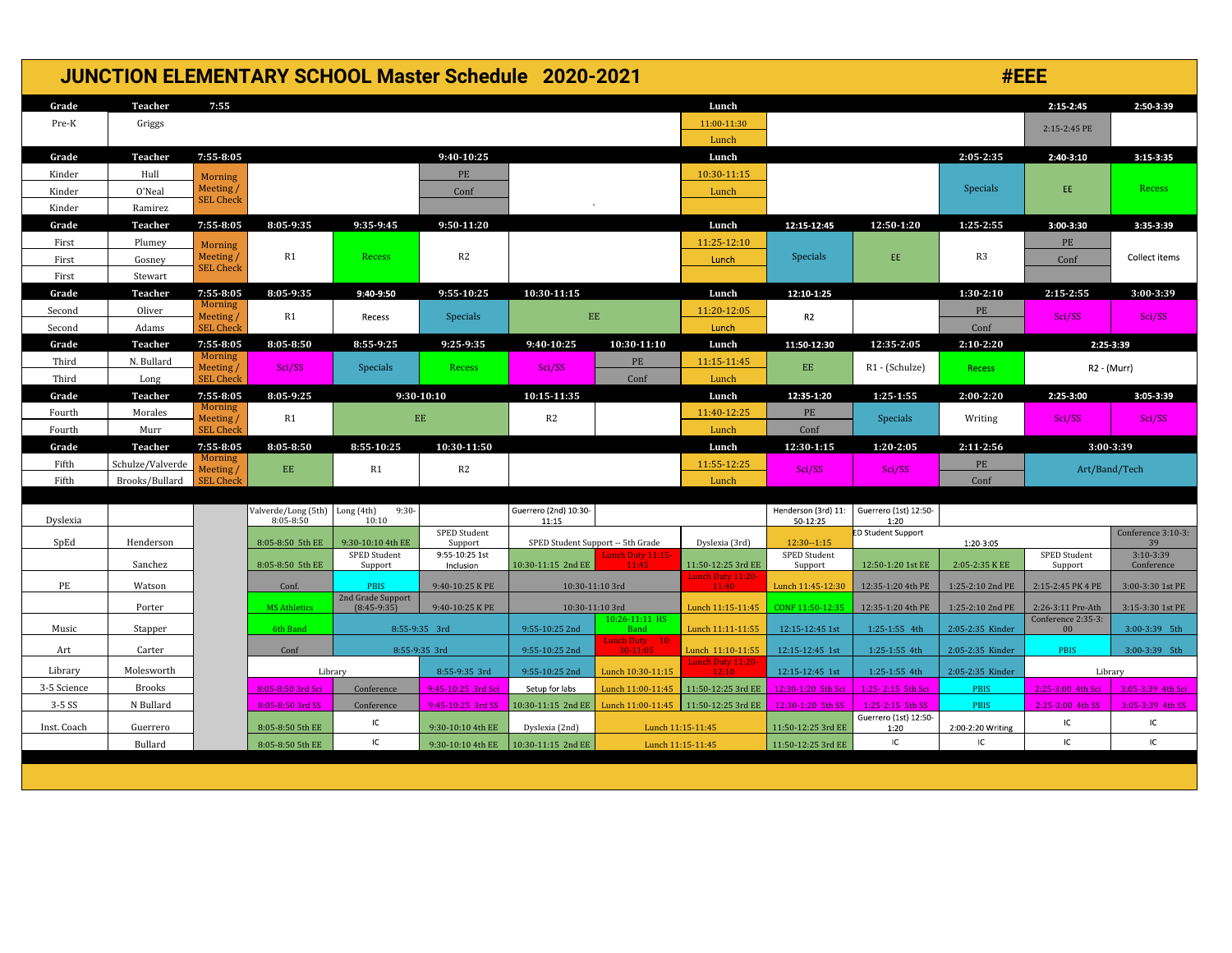| <b>JUNCTION ELEMENTARY SCHOOL Master Schedule 2020-2021</b> |                  |                              |                                             |                                    |                           |                                         |                                                        |                                        | #EEE                            |                               |                   |                                         |                    |  |
|-------------------------------------------------------------|------------------|------------------------------|---------------------------------------------|------------------------------------|---------------------------|-----------------------------------------|--------------------------------------------------------|----------------------------------------|---------------------------------|-------------------------------|-------------------|-----------------------------------------|--------------------|--|
| Grade                                                       | Teacher          | 7:55                         |                                             |                                    |                           |                                         |                                                        | Lunch                                  |                                 |                               |                   | $2:15 - 2:45$                           | 2:50-3:39          |  |
| Pre-K                                                       | Griggs           |                              |                                             |                                    |                           |                                         |                                                        | 11:00-11:30<br>Lunch                   |                                 |                               |                   | 2:15-2:45 PE                            |                    |  |
| Grade                                                       | Teacher          | 7:55-8:05                    |                                             |                                    | 9:40-10:25                |                                         |                                                        | Lunch                                  |                                 |                               | 2:05-2:35         | 2:40-3:10                               | $3:15-3:35$        |  |
| Kinder                                                      | Hull             | <b>Morning</b>               |                                             |                                    | PE                        |                                         |                                                        | 10:30-11:15                            |                                 |                               |                   |                                         |                    |  |
| Kinder                                                      | O'Neal           | Meeting/                     |                                             |                                    | Conf                      |                                         |                                                        | Lunch                                  |                                 |                               | Specials          | EE.                                     | Recess             |  |
| Kinder                                                      | Ramirez          | <b>SEL Check</b>             |                                             |                                    |                           |                                         |                                                        |                                        |                                 |                               |                   |                                         |                    |  |
| Grade                                                       | Teacher          | 7:55-8:05                    | 8:05-9:35                                   | 9:35-9:45                          | $9:50-11:20$              |                                         |                                                        | Lunch                                  | 12:15-12:45                     | 12:50-1:20                    | 1:25-2:55         | 3:00-3:30                               | 3:35-3:39          |  |
| First                                                       | Plumey           | Morning                      |                                             |                                    |                           |                                         |                                                        | 11:25-12:10                            |                                 |                               |                   | PE                                      |                    |  |
| First                                                       | Gosney           | Meeting/<br><b>SEL Check</b> | R1                                          | Recess                             | R2                        |                                         |                                                        | Lunch                                  | <b>Specials</b>                 | EE                            | R <sub>3</sub>    | Conf                                    | Collect items      |  |
| First                                                       | Stewart          |                              |                                             |                                    |                           |                                         |                                                        |                                        |                                 |                               |                   |                                         |                    |  |
| Grade                                                       | Teacher          | 7:55-8:05                    | 8:05-9:35                                   | 9:40-9:50                          | 9:55-10:25                | 10:30-11:15                             |                                                        | Lunch                                  | 12:10-1:25                      |                               | $1:30-2:10$       | $2:15 - 2:55$                           | 3:00-3:39          |  |
| Second                                                      | Oliver           | <b>Morning</b><br>Meeting/   | R1                                          | Recess                             | Specials                  | $\mathbf{EE}$                           |                                                        | 11:20-12:05                            | R <sub>2</sub>                  |                               | PE                | Sci/SS                                  | Sci/SS             |  |
| Second                                                      | Adams            | <b>SEL Check</b>             |                                             |                                    |                           |                                         |                                                        | Lunch                                  |                                 |                               | Conf              |                                         |                    |  |
| Grade                                                       | Teacher          | 7:55-8:05<br>Morning         | 8:05-8:50                                   | 8:55-9:25                          | 9:25-9:35                 | 9:40-10:25                              | 10:30-11:10                                            | Lunch                                  | 11:50-12:30                     | 12:35-2:05                    | $2:10-2:20$       | 2:25-3:39                               |                    |  |
| Third                                                       | N. Bullard       | Meeting/                     | Sci/SS                                      | Specials                           | Recess                    | Sci/SS                                  | PE                                                     | 11:15-11:45                            | EE.                             | R1 - (Schulze)                | <b>Recess</b>     |                                         | R2 - (Murr)        |  |
| Third                                                       | Long             | <b>SEL Check</b>             |                                             |                                    |                           |                                         | Conf                                                   | Lunch                                  |                                 |                               |                   |                                         |                    |  |
| Grade                                                       | Teacher          | 7:55-8:05<br><b>Morning</b>  | 8:05-9:25                                   |                                    | $9:30-10:10$              | 10:15-11:35                             |                                                        | Lunch                                  | 12:35-1:20                      | $1:25 - 1:55$                 | 2:00-2:20         | 2:25-3:00                               | 3:05-3:39          |  |
| Fourth                                                      | Morales          | Meeting/                     | R1                                          |                                    | $EE$                      | R2                                      |                                                        | 11:40-12:25                            | PE                              | Specials                      | Writing           | Sci/SS                                  | Sci/SS             |  |
| Fourth                                                      | Murr             | <b>SEL Check</b>             |                                             |                                    |                           |                                         |                                                        | Lunch                                  | Conf                            |                               |                   |                                         |                    |  |
| Grade                                                       | Teacher          | 7:55-8:05<br><b>Morning</b>  | 8:05-8:50                                   | 8:55-10:25                         | 10:30-11:50               |                                         |                                                        | Lunch                                  | 12:30-1:15                      | 1:20-2:05                     | 2:11-2:56         | 3:00-3:39                               |                    |  |
| Fifth                                                       | Schulze/Valverde | Meeting/                     | $EE$                                        | R1                                 | R <sub>2</sub>            |                                         |                                                        | 11:55-12:25                            | Sci/SS                          | Sci/SS                        | PE                |                                         | Art/Band/Tech      |  |
| Fifth                                                       | Brooks/Bullard   | <b>SEL Check</b>             |                                             |                                    |                           |                                         |                                                        | Lunch                                  |                                 |                               | Conf              |                                         |                    |  |
| Dyslexia                                                    |                  |                              | Valverde/Long (5th) Long (4th)<br>8:05-8:50 | $9:30-$<br>10:10                   |                           | Guerrero (2nd) 10:30-<br>11:15          |                                                        |                                        | Henderson (3rd) 11:<br>50-12:25 | Guerrero (1st) 12:50-<br>1:20 |                   |                                         |                    |  |
|                                                             |                  |                              |                                             |                                    | SPED Student              |                                         |                                                        |                                        |                                 | ED Student Support            |                   |                                         | Conference 3:10-3: |  |
| SpEd                                                        | Henderson        |                              | 8:05-8:50 5th EE                            | 9:30-10:10 4th EE<br>SPED Student  | Support<br>9:55-10:25 1st |                                         | SPED Student Support -- 5th Grade<br>Lunch Duty 11:15- | Dyslexia (3rd)                         | $12:30 - 1:15$<br>SPED Student  |                               | 1:20-3:05         | SPED Student                            | 39<br>$3:10-3:39$  |  |
|                                                             | Sanchez          |                              | 8:05-8:50 5th EE                            | Support                            | Inclusion                 | 10:30-11:15 2nd EE                      | 11.45                                                  | 11:50-12:25 3rd EE                     | Support                         | 12:50-1:20 1st EE             | 2:05-2:35 K EE    | Support                                 | Conference         |  |
| PE                                                          | Watson           |                              | Conf.                                       | <b>PBIS</b>                        | 9:40-10:25 K PE           | 10:30-11:10 3rd                         |                                                        | Lunch Duty 11:20-<br>11:40             | Lunch 11:45-12:30               | 12:35-1:20 4th PE             | 1:25-2:10 2nd PE  | 2:15-2:45 PK 4 PE                       | 3:00-3:30 1st PE   |  |
|                                                             | Porter           |                              | <b>MS Athletics</b>                         | 2nd Grade Support<br>$(8:45-9:35)$ | 9:40-10:25 K PE           |                                         | 10:30-11:10 3rd<br>10:26-11:11 HS                      | Lunch 11:15-11:45                      | CONF 11:50-12:35                | 12:35-1:20 4th PE             | 1:25-2:10 2nd PE  | 2:26-3:11 Pre-Ath<br>Conference 2:35-3: | 3:15-3:30 1st PE   |  |
| Music                                                       | Stapper          |                              | 6th Band                                    |                                    | 8:55-9:35 3rd             | 9:55-10:25 2nd                          | <b>Band</b>                                            | Lunch 11:11-11:55                      | 12:15-12:45 1st                 | 1:25-1:55 4th                 | 2:05-2:35 Kinder  | 00                                      | 3:00-3:39 5th      |  |
| Art                                                         | Carter           |                              | Conf                                        | 8:55-9:35 3rd                      |                           | 9:55-10:25 2nd                          | Lunch Duty 10:<br>$30-11:05$                           | Lunch 11:10-11:55<br>Lunch Duty 11:20- | 12:15-12:45 1st                 | 1:25-1:55 4th                 | 2:05-2:35 Kinder  | <b>PBIS</b>                             | 3:00-3:39 5th      |  |
| Library                                                     | Molesworth       |                              | Library                                     | 8:55-9:35 3rd                      |                           | 9:55-10:25 2nd                          | Lunch 10:30-11:15                                      |                                        | 12:15-12:45 1st                 | 1:25-1:55 4th                 | 2:05-2:35 Kinder  |                                         | Library            |  |
| 3-5 Science                                                 | Brooks           |                              | 8:05-8:50 3rd Sci                           | Conference                         | 9:45-10:25 3rd Sci        | Setup for labs                          | Lunch 11:00-11:45                                      | 11:50-12:25 3rd EE                     | 12:30-1:20 5th Sci              | 1:25-2:15 5th Sci             | PBIS              | 2:25-3:00 4th Sci                       | 3:05-3:39 4th Sci  |  |
| $3-5SS$                                                     | N Bullard        |                              | 8:05-8:50 3rd SS                            | Conference                         | 9:45-10:25 3rd SS         | 10:30-11:15 2nd EE                      | Lunch 11:00-11:45                                      | 11:50-12:25 3rd EE                     | 12:30-1:20 5th SS               | $1:25 - 2:15$ 5th SS          | <b>PBIS</b>       | 2:25-3:00 4th SS                        | 3:05-3:39 4th SS   |  |
| Inst. Coach                                                 | Guerrero         |                              | 8:05-8:50 5th EE                            | IC                                 | 9:30-10:10 4th EE         | Dyslexia (2nd)                          |                                                        | Lunch 11:15-11:45                      | 11:50-12:25 3rd EE              | Guerrero (1st) 12:50-<br>1:20 | 2:00-2:20 Writing | $\sf IC$                                | IC                 |  |
|                                                             | Bullard          |                              | IC<br>8:05-8:50 5th EE                      |                                    | 9:30-10:10 4th EE         | 10:30-11:15 2nd EE<br>Lunch 11:15-11:45 |                                                        |                                        | 11:50-12:25 3rd EE              | IC.                           | IC                | IC.                                     | IC.                |  |
|                                                             |                  |                              |                                             |                                    |                           |                                         |                                                        |                                        |                                 |                               |                   |                                         |                    |  |